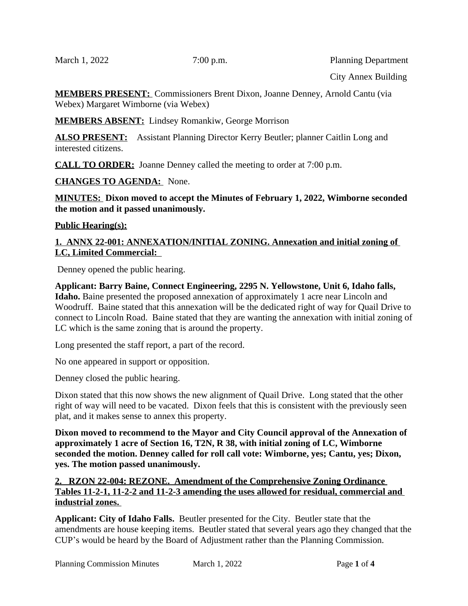March 1, 2022 7:00 p.m. Planning Department

City Annex Building

**MEMBERS PRESENT:** Commissioners Brent Dixon, Joanne Denney, Arnold Cantu (via Webex) Margaret Wimborne (via Webex)

**MEMBERS ABSENT:** Lindsey Romankiw, George Morrison

**ALSO PRESENT:** Assistant Planning Director Kerry Beutler; planner Caitlin Long and interested citizens.

**CALL TO ORDER:** Joanne Denney called the meeting to order at 7:00 p.m.

**CHANGES TO AGENDA:** None.

**MINUTES: Dixon moved to accept the Minutes of February 1, 2022, Wimborne seconded the motion and it passed unanimously.** 

## **Public Hearing(s):**

## **1. ANNX 22-001: ANNEXATION/INITIAL ZONING. Annexation and initial zoning of LC, Limited Commercial:**

Denney opened the public hearing.

**Applicant: Barry Baine, Connect Engineering, 2295 N. Yellowstone, Unit 6, Idaho falls, Idaho.** Baine presented the proposed annexation of approximately 1 acre near Lincoln and Woodruff. Baine stated that this annexation will be the dedicated right of way for Quail Drive to connect to Lincoln Road. Baine stated that they are wanting the annexation with initial zoning of LC which is the same zoning that is around the property.

Long presented the staff report, a part of the record.

No one appeared in support or opposition.

Denney closed the public hearing.

Dixon stated that this now shows the new alignment of Quail Drive. Long stated that the other right of way will need to be vacated. Dixon feels that this is consistent with the previously seen plat, and it makes sense to annex this property.

**Dixon moved to recommend to the Mayor and City Council approval of the Annexation of approximately 1 acre of Section 16, T2N, R 38, with initial zoning of LC, Wimborne seconded the motion. Denney called for roll call vote: Wimborne, yes; Cantu, yes; Dixon, yes. The motion passed unanimously.** 

**2. RZON 22-004: REZONE. Amendment of the Comprehensive Zoning Ordinance Tables 11-2-1, 11-2-2 and 11-2-3 amending the uses allowed for residual, commercial and industrial zones.** 

**Applicant: City of Idaho Falls.** Beutler presented for the City. Beutler state that the amendments are house keeping items. Beutler stated that several years ago they changed that the CUP's would be heard by the Board of Adjustment rather than the Planning Commission.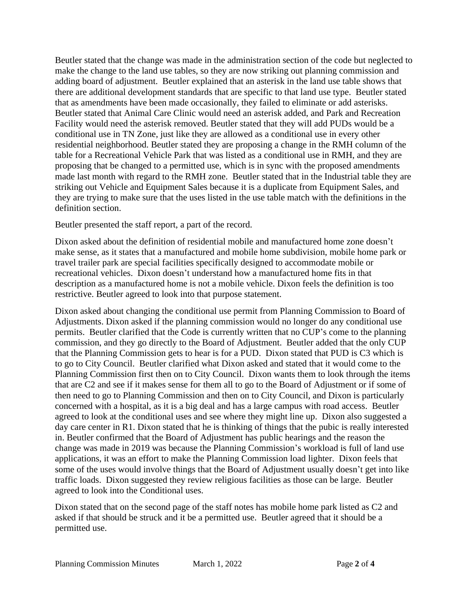Beutler stated that the change was made in the administration section of the code but neglected to make the change to the land use tables, so they are now striking out planning commission and adding board of adjustment. Beutler explained that an asterisk in the land use table shows that there are additional development standards that are specific to that land use type. Beutler stated that as amendments have been made occasionally, they failed to eliminate or add asterisks. Beutler stated that Animal Care Clinic would need an asterisk added, and Park and Recreation Facility would need the asterisk removed. Beutler stated that they will add PUDs would be a conditional use in TN Zone, just like they are allowed as a conditional use in every other residential neighborhood. Beutler stated they are proposing a change in the RMH column of the table for a Recreational Vehicle Park that was listed as a conditional use in RMH, and they are proposing that be changed to a permitted use, which is in sync with the proposed amendments made last month with regard to the RMH zone. Beutler stated that in the Industrial table they are striking out Vehicle and Equipment Sales because it is a duplicate from Equipment Sales, and they are trying to make sure that the uses listed in the use table match with the definitions in the definition section.

Beutler presented the staff report, a part of the record.

Dixon asked about the definition of residential mobile and manufactured home zone doesn't make sense, as it states that a manufactured and mobile home subdivision, mobile home park or travel trailer park are special facilities specifically designed to accommodate mobile or recreational vehicles. Dixon doesn't understand how a manufactured home fits in that description as a manufactured home is not a mobile vehicle. Dixon feels the definition is too restrictive. Beutler agreed to look into that purpose statement.

Dixon asked about changing the conditional use permit from Planning Commission to Board of Adjustments. Dixon asked if the planning commission would no longer do any conditional use permits. Beutler clarified that the Code is currently written that no CUP's come to the planning commission, and they go directly to the Board of Adjustment. Beutler added that the only CUP that the Planning Commission gets to hear is for a PUD. Dixon stated that PUD is C3 which is to go to City Council. Beutler clarified what Dixon asked and stated that it would come to the Planning Commission first then on to City Council. Dixon wants them to look through the items that are C2 and see if it makes sense for them all to go to the Board of Adjustment or if some of then need to go to Planning Commission and then on to City Council, and Dixon is particularly concerned with a hospital, as it is a big deal and has a large campus with road access. Beutler agreed to look at the conditional uses and see where they might line up. Dixon also suggested a day care center in R1. Dixon stated that he is thinking of things that the pubic is really interested in. Beutler confirmed that the Board of Adjustment has public hearings and the reason the change was made in 2019 was because the Planning Commission's workload is full of land use applications, it was an effort to make the Planning Commission load lighter. Dixon feels that some of the uses would involve things that the Board of Adjustment usually doesn't get into like traffic loads. Dixon suggested they review religious facilities as those can be large. Beutler agreed to look into the Conditional uses.

Dixon stated that on the second page of the staff notes has mobile home park listed as C2 and asked if that should be struck and it be a permitted use. Beutler agreed that it should be a permitted use.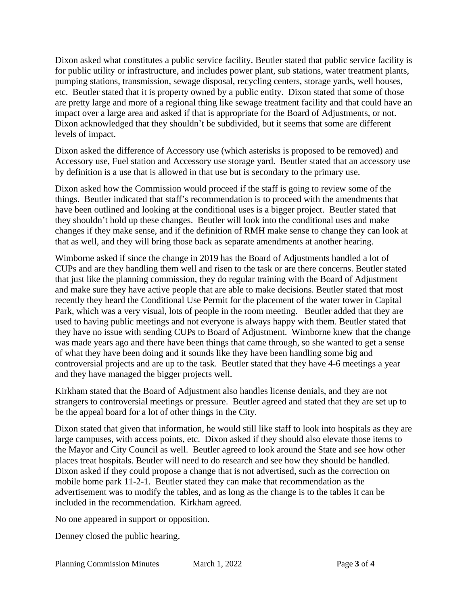Dixon asked what constitutes a public service facility. Beutler stated that public service facility is for public utility or infrastructure, and includes power plant, sub stations, water treatment plants, pumping stations, transmission, sewage disposal, recycling centers, storage yards, well houses, etc. Beutler stated that it is property owned by a public entity. Dixon stated that some of those are pretty large and more of a regional thing like sewage treatment facility and that could have an impact over a large area and asked if that is appropriate for the Board of Adjustments, or not. Dixon acknowledged that they shouldn't be subdivided, but it seems that some are different levels of impact.

Dixon asked the difference of Accessory use (which asterisks is proposed to be removed) and Accessory use, Fuel station and Accessory use storage yard. Beutler stated that an accessory use by definition is a use that is allowed in that use but is secondary to the primary use.

Dixon asked how the Commission would proceed if the staff is going to review some of the things. Beutler indicated that staff's recommendation is to proceed with the amendments that have been outlined and looking at the conditional uses is a bigger project. Beutler stated that they shouldn't hold up these changes. Beutler will look into the conditional uses and make changes if they make sense, and if the definition of RMH make sense to change they can look at that as well, and they will bring those back as separate amendments at another hearing.

Wimborne asked if since the change in 2019 has the Board of Adjustments handled a lot of CUPs and are they handling them well and risen to the task or are there concerns. Beutler stated that just like the planning commission, they do regular training with the Board of Adjustment and make sure they have active people that are able to make decisions. Beutler stated that most recently they heard the Conditional Use Permit for the placement of the water tower in Capital Park, which was a very visual, lots of people in the room meeting. Beutler added that they are used to having public meetings and not everyone is always happy with them. Beutler stated that they have no issue with sending CUPs to Board of Adjustment. Wimborne knew that the change was made years ago and there have been things that came through, so she wanted to get a sense of what they have been doing and it sounds like they have been handling some big and controversial projects and are up to the task. Beutler stated that they have 4-6 meetings a year and they have managed the bigger projects well.

Kirkham stated that the Board of Adjustment also handles license denials, and they are not strangers to controversial meetings or pressure. Beutler agreed and stated that they are set up to be the appeal board for a lot of other things in the City.

Dixon stated that given that information, he would still like staff to look into hospitals as they are large campuses, with access points, etc. Dixon asked if they should also elevate those items to the Mayor and City Council as well. Beutler agreed to look around the State and see how other places treat hospitals. Beutler will need to do research and see how they should be handled. Dixon asked if they could propose a change that is not advertised, such as the correction on mobile home park 11-2-1. Beutler stated they can make that recommendation as the advertisement was to modify the tables, and as long as the change is to the tables it can be included in the recommendation. Kirkham agreed.

No one appeared in support or opposition.

Denney closed the public hearing.